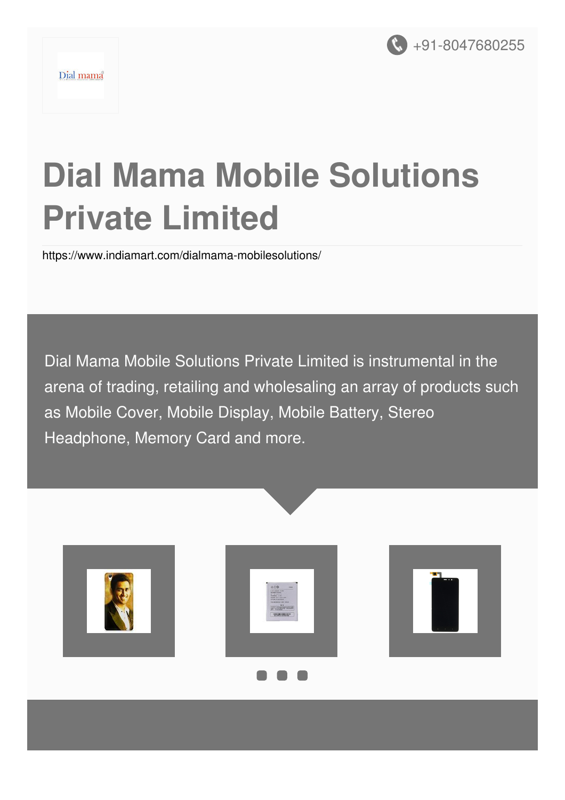

# **Dial Mama Mobile Solutions Private Limited**

<https://www.indiamart.com/dialmama-mobilesolutions/>

Dial Mama Mobile Solutions Private Limited is instrumental in the arena of trading, retailing and wholesaling an array of products such as Mobile Cover, Mobile Display, Mobile Battery, Stereo Headphone, Memory Card and more.

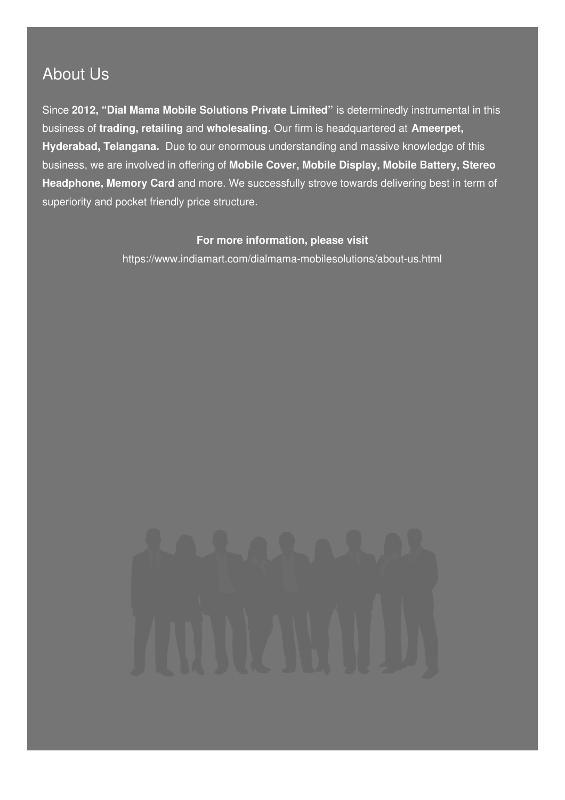### About Us

Since **2012, "Dial Mama Mobile Solutions Private Limited"** is determinedly instrumental in this business of **trading, retailing** and **wholesaling.** Our firm is headquartered at **Ameerpet, Hyderabad, Telangana.** Due to our enormous understanding and massive knowledge of this business, we are involved in offering of **Mobile Cover, Mobile Display, Mobile Battery, Stereo Headphone, Memory Card** and more. We successfully strove towards delivering best in term of superiority and pocket friendly price structure.

#### **For more information, please visit**

<https://www.indiamart.com/dialmama-mobilesolutions/about-us.html>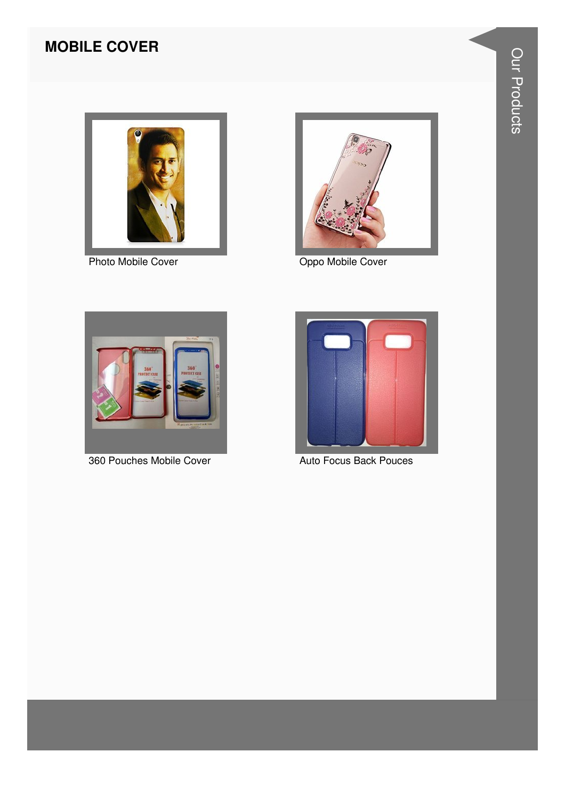#### **MOBILE COVER**



Photo Mobile Cover



Oppo Mobile Cover



360 Pouches Mobile Cover



Auto Focus Back Pouces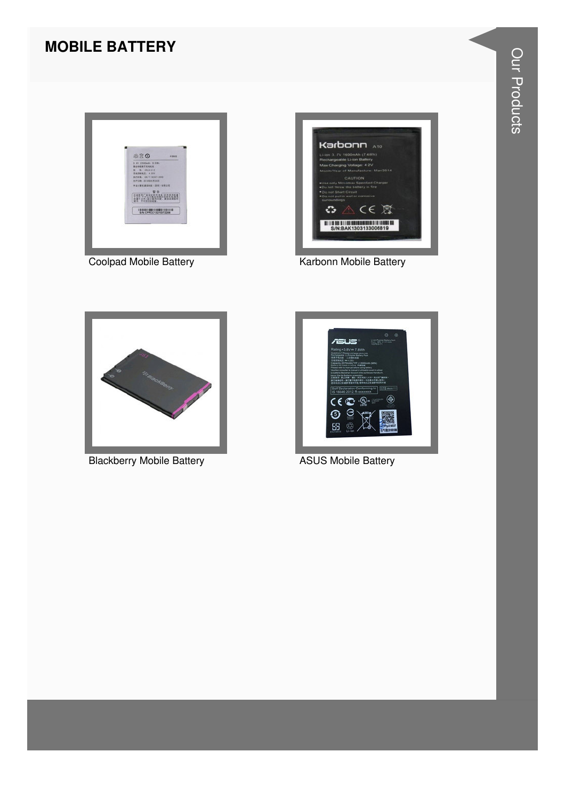#### **MOBILE BATTERY**



**Coolpad Mobile Battery** 



Karbonn Mobile Battery



**Blackberry Mobile Battery** 



**ASUS Mobile Battery**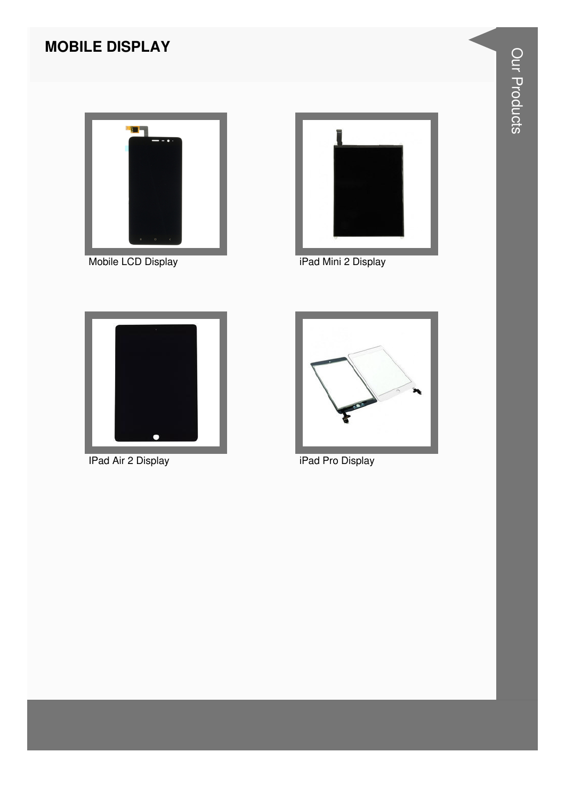#### **MOBILE DISPLAY**





Mobile LCD Display **iPad Mini 2 Display** 



IPad Air 2 Display **iPad Pro Display** 

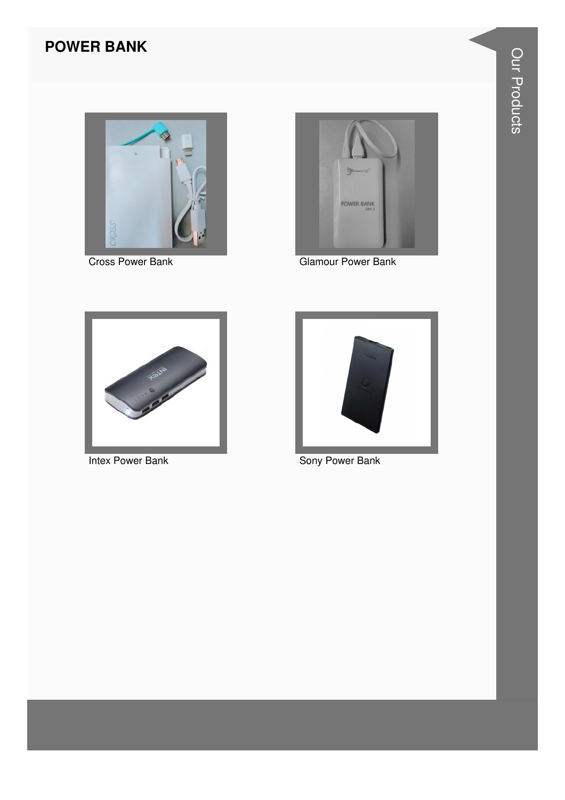#### **POWER BANK**



**Cross Power Bank** 



**Glamour Power Bank** 



Intex Power Bank



Sony Power Bank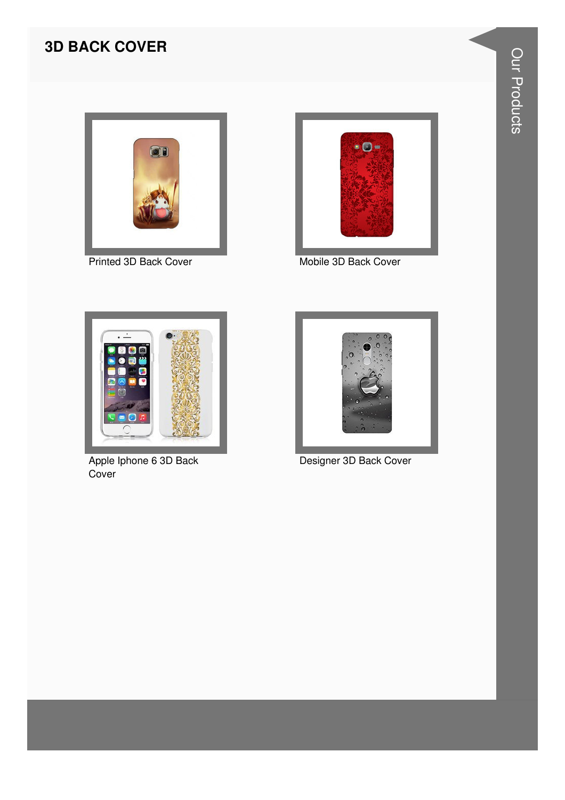#### **3D BACK COVER**



Printed 3D Back Cover



Mobile 3D Back Cover



Apple Iphone 6 3D Back Cover



Designer 3D Back Cover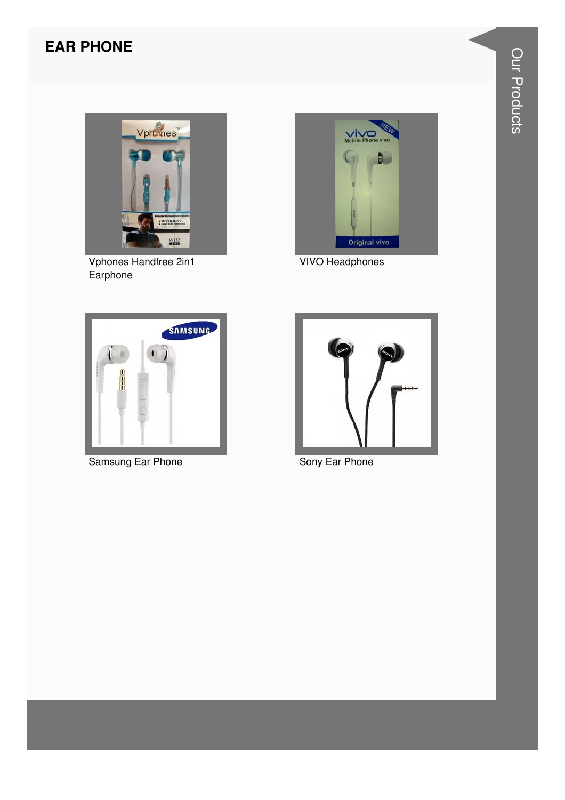#### **EAR PHONE**



Vphones Handfree 2in1<br>Earphone



**VIVO Headphones** 



Samsung Ear Phone



Sony Ear Phone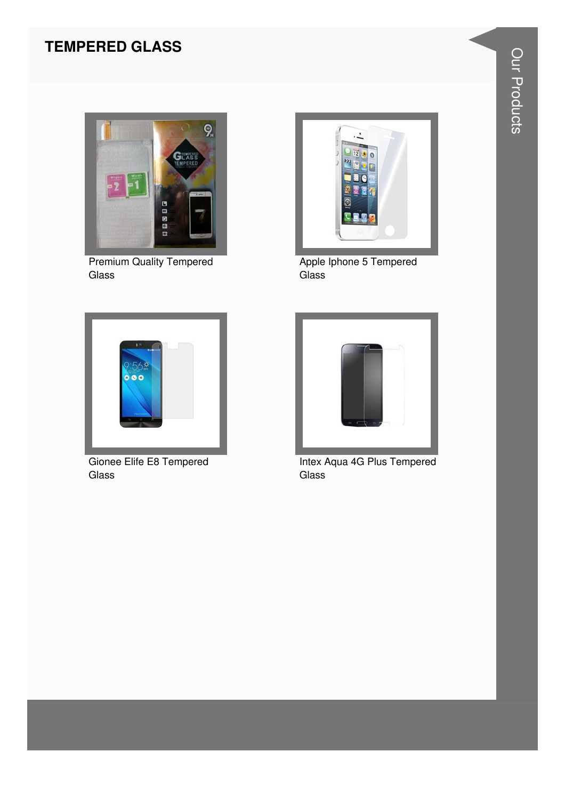#### **TEMPERED GLASS**



**Premium Quality Tempered** Glass



Gionee Elife E8 Tempered Glass



Apple Iphone 5 Tempered Glass



Intex Aqua 4G Plus Tempered Glass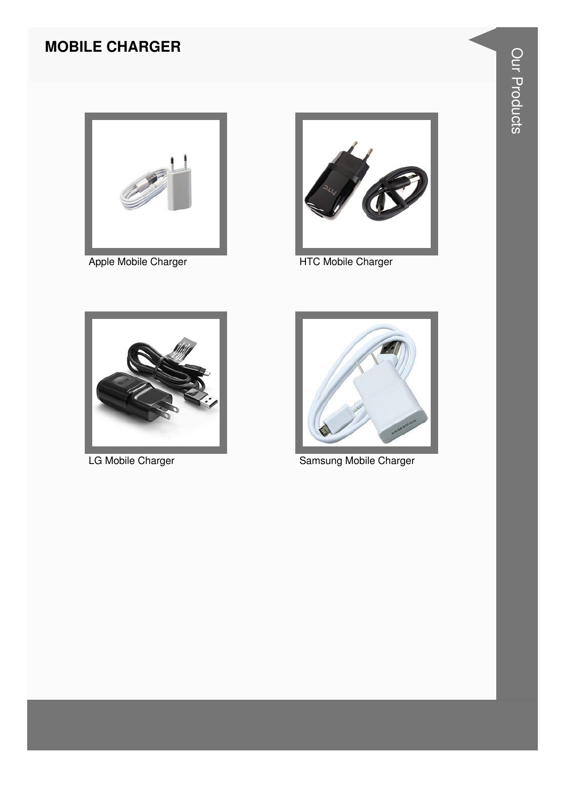#### **MOBILE CHARGER**



Apple Mobile Charger



**HTC Mobile Charger** 



LG Mobile Charger



Samsung Mobile Charger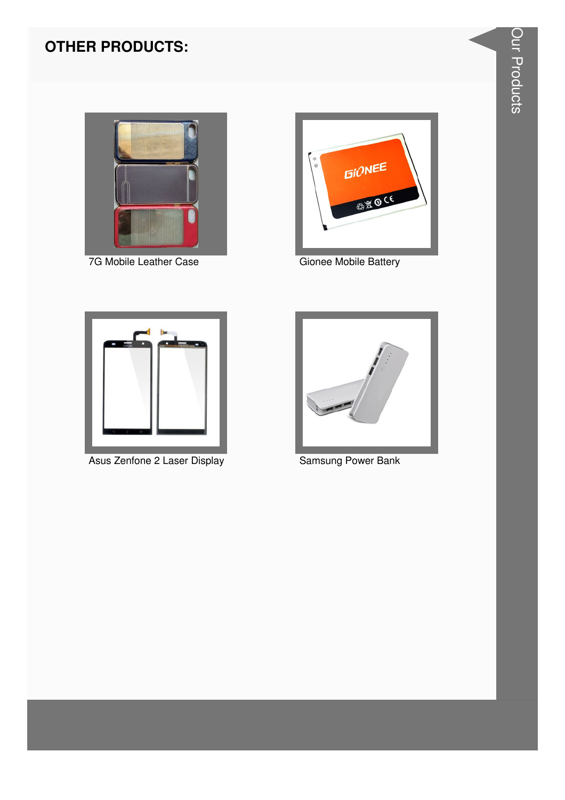#### **OTHER PRODUCTS:**



7G Mobile Leather Case



Gionee Mobile Battery



Asus Zenfone 2 Laser Display



**Samsung Power Bank**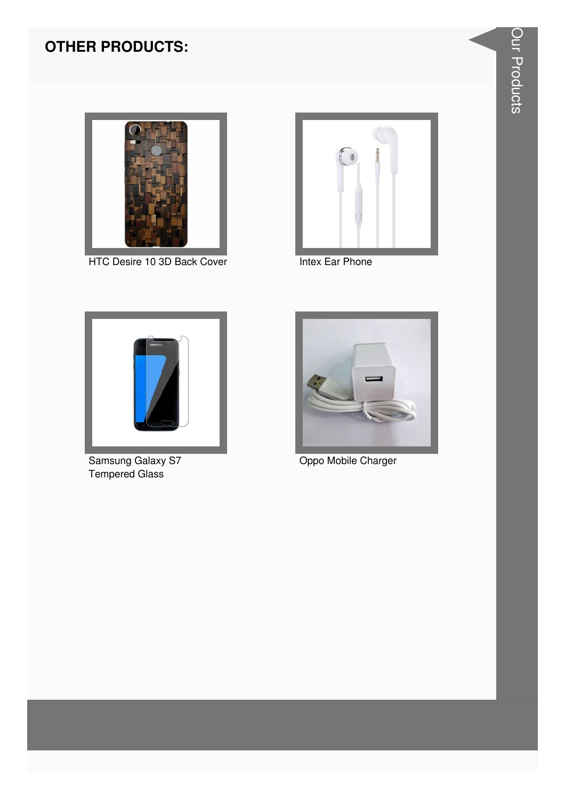#### **OTHER PRODUCTS:**



HTC Desire 10 3D Back Cover



**Intex Ear Phone** 



Samsung Galaxy S7<br>Tempered Glass



Oppo Mobile Charger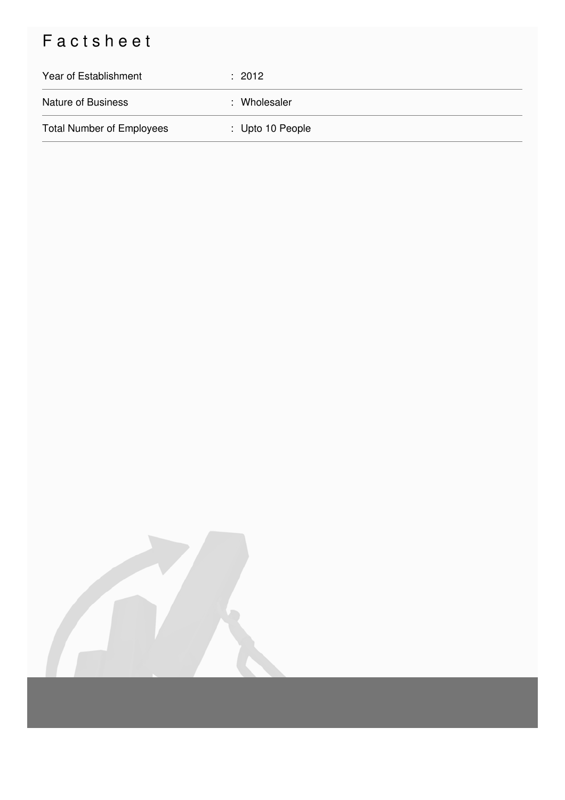## Factsheet

| Year of Establishment            | : 2012           |
|----------------------------------|------------------|
| <b>Nature of Business</b>        | : Wholesaler     |
| <b>Total Number of Employees</b> | : Upto 10 People |